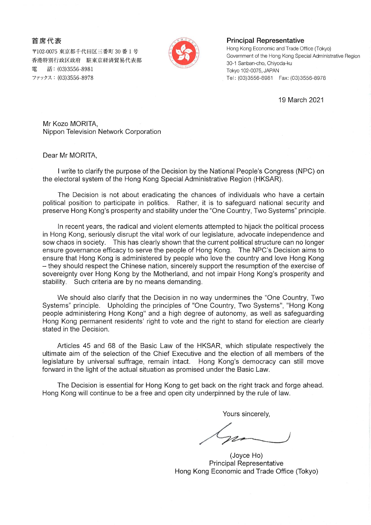首席代表

〒102-0075 東京都千代田区三番町 30 番 1 号 香港特別行政区政府 駐東京経済貿易代表部 話: (03)3556-8981 雷 ファックス: (03)3556-8978



## **Principal Representative**

Hong Kong Economic and Trade Office (Tokyo) Government of the Hong Kong Special Administrative Region 30-1 Sanban-cho, Chiyoda-ku Tokyo 102-0075, JAPAN 

19 March 2021

Mr Kozo MORITA, Nippon Television Network Corporation

Dear Mr MORITA,

I write to clarify the purpose of the Decision by the National People's Congress (NPC) on the electoral system of the Hong Kong Special Administrative Region (HKSAR).

The Decision is not about eradicating the chances of individuals who have a certain political position to participate in politics. Rather, it is to safeguard national security and preserve Hong Kong's prosperity and stability under the "One Country, Two Systems" principle.

In recent years, the radical and violent elements attempted to hijack the political process in Hong Kong, seriously disrupt the vital work of our legislature, advocate independence and sow chaos in society. This has clearly shown that the current political structure can no longer ensure governance efficacy to serve the people of Hong Kong. The NPC's Decision aims to ensure that Hong Kong is administered by people who love the country and love Hong Kong - they should respect the Chinese nation, sincerely support the resumption of the exercise of sovereignty over Hong Kong by the Motherland, and not impair Hong Kong's prosperity and stability. Such criteria are by no means demanding.

We should also clarify that the Decision in no way undermines the "One Country, Two Systems" principle. Upholding the principles of "One Country, Two Systems", "Hong Kong people administering Hong Kong" and a high degree of autonomy, as well as safeguarding Hong Kong permanent residents' right to vote and the right to stand for election are clearly stated in the Decision.

Articles 45 and 68 of the Basic Law of the HKSAR, which stipulate respectively the ultimate aim of the selection of the Chief Executive and the election of all members of the legislature by universal suffrage, remain intact. Hong Kong's democracy can still move forward in the light of the actual situation as promised under the Basic Law.

The Decision is essential for Hong Kong to get back on the right track and forge ahead. Hong Kong will continue to be a free and open city underpinned by the rule of law.

Yours sincerely,

(Joyce Ho) **Principal Representative** Hong Kong Economic and Trade Office (Tokyo)